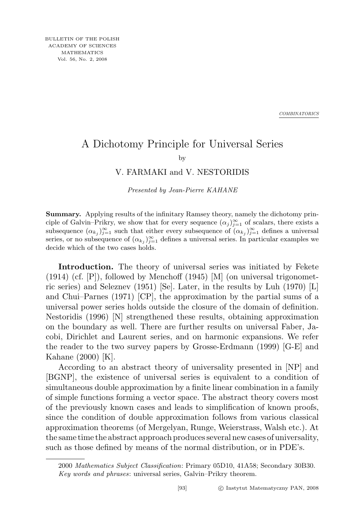*COMBINATORICS*

## A Dichotomy Principle for Universal Series

by

## V. FARMAKI and V. NESTORIDIS

Presented by Jean-Pierre KAHANE

Summary. Applying results of the infinitary Ramsey theory, namely the dichotomy principle of Galvin–Prikry, we show that for every sequence  $(\alpha_j)_{j=1}^{\infty}$  of scalars, there exists a subsequence  $(\alpha_{k_j})_{j=1}^{\infty}$  such that either every subsequence of  $(\alpha_{k_j})_{j=1}^{\infty}$  defines a universal series, or no subsequence of  $(\alpha_{kj})_{j=1}^{\infty}$  defines a universal series. In particular examples we decide which of the two cases holds.

Introduction. The theory of universal series was initiated by Fekete  $(1914)$  (cf.  $[P]$ ), followed by Menchoff (1945) [M] (on universal trigonometric series) and Seleznev (1951) [Se]. Later, in the results by Luh (1970) [L] and Chui–Parnes (1971) [CP], the approximation by the partial sums of a universal power series holds outside the closure of the domain of definition. Nestoridis (1996) [N] strengthened these results, obtaining approximation on the boundary as well. There are further results on universal Faber, Jacobi, Dirichlet and Laurent series, and on harmonic expansions. We refer the reader to the two survey papers by Grosse-Erdmann (1999) [G-E] and Kahane (2000) [K].

According to an abstract theory of universality presented in [NP] and [BGNP], the existence of universal series is equivalent to a condition of simultaneous double approximation by a finite linear combination in a family of simple functions forming a vector space. The abstract theory covers most of the previously known cases and leads to simplification of known proofs, since the condition of double approximation follows from various classical approximation theorems (of Mergelyan, Runge, Weierstrass, Walsh etc.). At the same time the abstract approach produces several new cases of universality, such as those defined by means of the normal distribution, or in PDE's.

<sup>2000</sup> Mathematics Subject Classification: Primary 05D10, 41A58; Secondary 30B30. Key words and phrases: universal series, Galvin–Prikry theorem.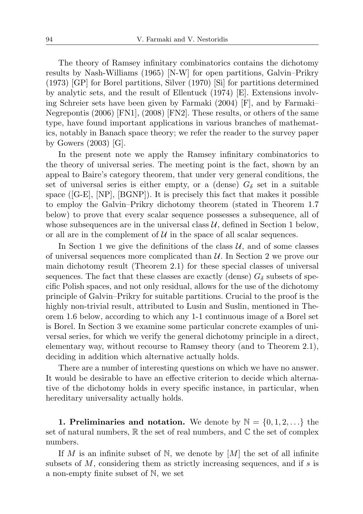The theory of Ramsey infinitary combinatorics contains the dichotomy results by Nash-Williams (1965) [N-W] for open partitions, Galvin–Prikry (1973) [GP] for Borel partitions, Silver (1970) [Si] for partitions determined by analytic sets, and the result of Ellentuck (1974) [E]. Extensions involving Schreier sets have been given by Farmaki (2004) [F], and by Farmaki– Negrepontis (2006) [FN1], (2008) [FN2]. These results, or others of the same type, have found important applications in various branches of mathematics, notably in Banach space theory; we refer the reader to the survey paper by Gowers (2003) [G].

In the present note we apply the Ramsey infinitary combinatorics to the theory of universal series. The meeting point is the fact, shown by an appeal to Baire's category theorem, that under very general conditions, the set of universal series is either empty, or a (dense)  $G_{\delta}$  set in a suitable space ([G-E], [NP], [BGNP]). It is precisely this fact that makes it possible to employ the Galvin–Prikry dichotomy theorem (stated in Theorem 1.7 below) to prove that every scalar sequence possesses a subsequence, all of whose subsequences are in the universal class  $U$ , defined in Section 1 below, or all are in the complement of  $\mathcal U$  in the space of all scalar sequences.

In Section 1 we give the definitions of the class  $U$ , and of some classes of universal sequences more complicated than  $\mathcal{U}$ . In Section 2 we prove our main dichotomy result (Theorem 2.1) for these special classes of universal sequences. The fact that these classes are exactly (dense)  $G_{\delta}$  subsets of specific Polish spaces, and not only residual, allows for the use of the dichotomy principle of Galvin–Prikry for suitable partitions. Crucial to the proof is the highly non-trivial result, attributed to Lusin and Suslin, mentioned in Theorem 1.6 below, according to which any 1-1 continuous image of a Borel set is Borel. In Section 3 we examine some particular concrete examples of universal series, for which we verify the general dichotomy principle in a direct, elementary way, without recourse to Ramsey theory (and to Theorem 2.1), deciding in addition which alternative actually holds.

There are a number of interesting questions on which we have no answer. It would be desirable to have an effective criterion to decide which alternative of the dichotomy holds in every specific instance, in particular, when hereditary universality actually holds.

1. Preliminaries and notation. We denote by  $\mathbb{N} = \{0, 1, 2, \ldots\}$  the set of natural numbers,  $\mathbb R$  the set of real numbers, and  $\mathbb C$  the set of complex numbers.

If M is an infinite subset of N, we denote by  $[M]$  the set of all infinite subsets of  $M$ , considering them as strictly increasing sequences, and if  $s$  is a non-empty finite subset of N, we set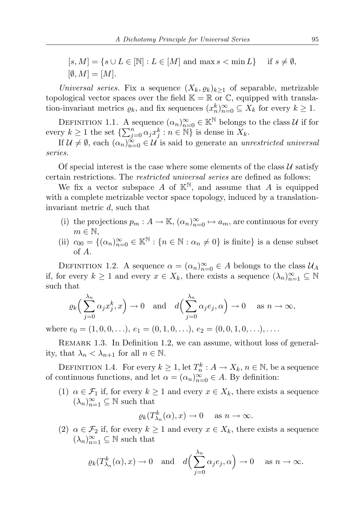Universal series. Fix a sequence  $(X_k, \varrho_k)_{k\geq 1}$  of separable, metrizable topological vector spaces over the field  $\mathbb{K} = \mathbb{R}$  or  $\mathbb{C}$ , equipped with translation-invariant metrics  $\varrho_k$ , and fix sequences  $(x_n^k)_{n=0}^{\infty} \subseteq X_k$  for every  $k \geq 1$ .

DEFINITION 1.1. A sequence  $(\alpha_n)_{n=0}^{\infty} \in \mathbb{K}^{\mathbb{N}}$  belongs to the class  $\mathcal U$  if for every  $k \geq 1$  the set  $\{\sum_{j=0}^{n} \alpha_j x_j^k : n \in \mathbb{N}\}\$  is dense in  $X_k$ .

If  $\mathcal{U} \neq \emptyset$ , each  $(\alpha_n)_{n=0}^{\infty} \in \mathcal{U}$  is said to generate an unrestricted universal series.

Of special interest is the case where some elements of the class  $U$  satisfy certain restrictions. The restricted universal series are defined as follows:

We fix a vector subspace A of  $\mathbb{K}^{\mathbb{N}}$ , and assume that A is equipped with a complete metrizable vector space topology, induced by a translationinvariant metric d, such that

- (i) the projections  $p_m: A \to \mathbb{K}$ ,  $(\alpha_n)_{n=0}^{\infty} \mapsto a_m$ , are continuous for every  $m \in \mathbb{N}$ .
- (ii)  $c_{00} = \{(\alpha_n)_{n=0}^{\infty} \in \mathbb{K}^{\mathbb{N}} : \{n \in \mathbb{N} : \alpha_n \neq 0\} \text{ is finite}\}\$ is a dense subset of A.

DEFINITION 1.2. A sequence  $\alpha = (\alpha_n)_{n=0}^{\infty} \in A$  belongs to the class  $\mathcal{U}_A$ if, for every  $k \geq 1$  and every  $x \in X_k$ , there exists a sequence  $(\lambda_n)_{n=1}^{\infty} \subseteq \mathbb{N}$ such that

$$
\varrho_k\Big(\sum_{j=0}^{\lambda_n} \alpha_j x_j^k, x\Big) \to 0 \text{ and } d\Big(\sum_{j=0}^{\lambda_n} \alpha_j e_j, \alpha\Big) \to 0 \text{ as } n \to \infty,
$$

where  $e_0 = (1, 0, 0, \ldots), e_1 = (0, 1, 0, \ldots), e_2 = (0, 0, 1, 0, \ldots), \ldots$ 

REMARK 1.3. In Definition 1.2, we can assume, without loss of generality, that  $\lambda_n < \lambda_{n+1}$  for all  $n \in \mathbb{N}$ .

DEFINITION 1.4. For every  $k \geq 1$ , let  $T_n^k : A \to X_k$ ,  $n \in \mathbb{N}$ , be a sequence of continuous functions, and let  $\alpha = (\alpha_n)_{n=0}^{\infty} \in A$ . By definition:

(1)  $\alpha \in \mathcal{F}_1$  if, for every  $k \geq 1$  and every  $x \in X_k$ , there exists a sequence  $(\lambda_n)_{n=1}^{\infty} \subseteq \mathbb{N}$  such that

$$
\varrho_k(T^k_{\lambda_n}(\alpha),x)\to 0
$$
 as  $n\to\infty$ .

(2)  $\alpha \in \mathcal{F}_2$  if, for every  $k \geq 1$  and every  $x \in X_k$ , there exists a sequence  $(\lambda_n)_{n=1}^{\infty} \subseteq \mathbb{N}$  such that

$$
\varrho_k(T^k_{\lambda_n}(\alpha), x) \to 0
$$
 and  $d\left(\sum_{j=0}^{\lambda_n} \alpha_j e_j, \alpha\right) \to 0$  as  $n \to \infty$ .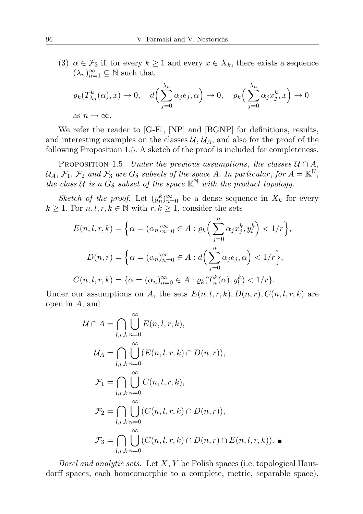(3)  $\alpha \in \mathcal{F}_3$  if, for every  $k \geq 1$  and every  $x \in X_k$ , there exists a sequence  $(\lambda_n)_{n=1}^\infty\subseteq\mathbb{N}$  such that

$$
\varrho_k(T^k_{\lambda_n}(\alpha), x) \to 0, \quad d\left(\sum_{j=0}^{\lambda_n} \alpha_j e_j, \alpha\right) \to 0, \quad \varrho_k\left(\sum_{j=0}^{\lambda_n} \alpha_j x_j^k, x\right) \to 0
$$
  
as  $n \to \infty$ .

We refer the reader to [G-E], [NP] and [BGNP] for definitions, results, and interesting examples on the classes  $\mathcal{U}, \mathcal{U}_A$ , and also for the proof of the following Proposition 1.5. A sketch of the proof is included for completeness.

PROPOSITION 1.5. Under the previous assumptions, the classes  $U \cap A$ ,  $\mathcal{U}_A, \mathcal{F}_1, \mathcal{F}_2$  and  $\mathcal{F}_3$  are  $G_\delta$  subsets of the space A. In particular, for  $A = \mathbb{K}^{\mathbb{N}},$ the class  $\hat{U}$  is a  $G_{\delta}$  subset of the space  $\mathbb{K}^{\hat{\mathbb{N}}}$  with the product topology.

Sketch of the proof. Let  $(y_n^k)_{n=0}^{\infty}$  be a dense sequence in  $X_k$  for every  $k \geq 1$ . For  $n, l, r, k \in \mathbb{N}$  with  $r, k \geq 1$ , consider the sets

$$
E(n, l, r, k) = \left\{ \alpha = (\alpha_n)_{n=0}^{\infty} \in A : \varrho_k \left( \sum_{j=0}^n \alpha_j x_j^k, y_l^k \right) < 1/r \right\},
$$
\n
$$
D(n, r) = \left\{ \alpha = (\alpha_n)_{n=0}^{\infty} \in A : d \left( \sum_{j=0}^n \alpha_j e_j, \alpha \right) < 1/r \right\},
$$
\n
$$
C(n, l, r, k) = \left\{ \alpha = (\alpha_n)_{n=0}^{\infty} \in A : \varrho_k(T_n^k(\alpha), y_l^k) < 1/r \right\}.
$$

Under our assumptions on A, the sets  $E(n, l, r, k)$ ,  $D(n, r)$ ,  $C(n, l, r, k)$  are open in A, and

$$
\mathcal{U} \cap A = \bigcap_{l,r,k} \bigcup_{n=0}^{\infty} E(n,l,r,k),
$$
  
\n
$$
\mathcal{U}_A = \bigcap_{l,r,k} \bigcup_{n=0}^{\infty} (E(n,l,r,k) \cap D(n,r)),
$$
  
\n
$$
\mathcal{F}_1 = \bigcap_{l,r,k} \bigcup_{n=0}^{\infty} C(n,l,r,k),
$$
  
\n
$$
\mathcal{F}_2 = \bigcap_{l,r,k} \bigcup_{n=0}^{\infty} (C(n,l,r,k) \cap D(n,r)),
$$
  
\n
$$
\mathcal{F}_3 = \bigcap_{l,r,k} \bigcup_{n=0}^{\infty} (C(n,l,r,k) \cap D(n,r) \cap E(n,l,r,k)).
$$

*Borel and analytic sets.* Let  $X, Y$  be Polish spaces (i.e. topological Hausdorff spaces, each homeomorphic to a complete, metric, separable space),

 $\blacksquare$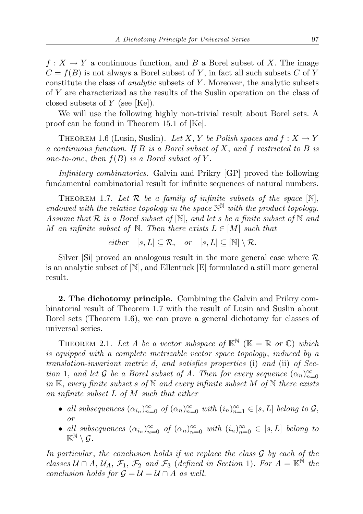$f: X \to Y$  a continuous function, and B a Borel subset of X. The image  $C = f(B)$  is not always a Borel subset of Y, in fact all such subsets C of Y constitute the class of *analytic* subsets of Y. Moreover, the analytic subsets of Y are characterized as the results of the Suslin operation on the class of closed subsets of  $Y$  (see [Ke]).

We will use the following highly non-trivial result about Borel sets. A proof can be found in Theorem 15.1 of [Ke].

THEOREM 1.6 (Lusin, Suslin). Let X, Y be Polish spaces and  $f: X \to Y$ a continuous function. If B is a Borel subset of X, and f restricted to B is one-to-one, then  $f(B)$  is a Borel subset of Y.

Infinitary combinatorics. Galvin and Prikry [GP] proved the following fundamental combinatorial result for infinite sequences of natural numbers.

THEOREM 1.7. Let  $\mathcal R$  be a family of infinite subsets of the space  $[\mathbb N]$ , endowed with the relative topology in the space  $\mathbb{N}^{\mathbb{N}}$  with the product topology. Assume that  $R$  is a Borel subset of  $[N]$ , and let s be a finite subset of  $N$  and M an infinite subset of  $\mathbb N$ . Then there exists  $L \in [M]$  such that

either  $[s, L] \subseteq \mathcal{R}$ , or  $[s, L] \subseteq [\mathbb{N}] \setminus \mathcal{R}$ .

Silver [Si] proved an analogous result in the more general case where  $\mathcal R$ is an analytic subset of [N], and Ellentuck [E] formulated a still more general result.

2. The dichotomy principle. Combining the Galvin and Prikry combinatorial result of Theorem 1.7 with the result of Lusin and Suslin about Borel sets (Theorem 1.6), we can prove a general dichotomy for classes of universal series.

THEOREM 2.1. Let A be a vector subspace of  $\mathbb{K}^{\mathbb{N}}$  ( $\mathbb{K} = \mathbb{R}$  or  $\mathbb{C}$ ) which is equipped with a complete metrizable vector space topology, induced by a translation-invariant metric d, and satisfies properties (i) and (ii) of Section 1, and let G be a Borel subset of A. Then for every sequence  $(\alpha_n)_{n=0}^{\infty}$ in K, every finite subset s of  $\mathbb N$  and every infinite subset M of  $\mathbb N$  there exists an infinite subset L of M such that either

- all subsequences  $(\alpha_{i_n})_{n=0}^{\infty}$  of  $(\alpha_n)_{n=0}^{\infty}$  with  $(i_n)_{n=1}^{\infty} \in [s, L]$  belong to  $\mathcal{G}$ , or
- all subsequences  $(\alpha_{i_n})_{n=0}^{\infty}$  of  $(\alpha_n)_{n=0}^{\infty}$  with  $(i_n)_{n=0}^{\infty} \in [s, L]$  belong to  $\mathbb{K}^{\mathbb{N}}\setminus\mathcal{G}$ .

In particular, the conclusion holds if we replace the class  $G$  by each of the classes  $U \cap A$ ,  $U_A$ ,  $\mathcal{F}_1$ ,  $\mathcal{F}_2$  and  $\mathcal{F}_3$  (defined in Section 1). For  $A = \mathbb{K}^{\mathbb{N}}$  the conclusion holds for  $\mathcal{G} = \mathcal{U} = \mathcal{U} \cap A$  as well.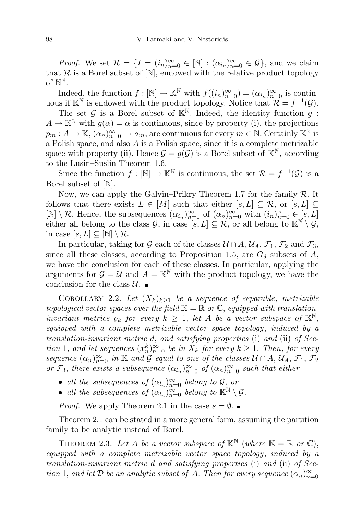*Proof.* We set  $\mathcal{R} = \{I = (i_n)_{n=0}^{\infty} \in [\mathbb{N}] : (\alpha_{i_n})_{n=0}^{\infty} \in \mathcal{G}\}$ , and we claim that  $\mathcal R$  is a Borel subset of  $[\mathbb N]$ , endowed with the relative product topology of  $\mathbb{N}^{\mathbb{N}}$ .

Indeed, the function  $f: [\mathbb{N}] \to \mathbb{K}^{\mathbb{N}}$  with  $f((i_n)_{n=0}^{\infty}) = (\alpha_{i_n})_{n=0}^{\infty}$  is continuous if  $\mathbb{K}^{\mathbb{N}}$  is endowed with the product topology. Notice that  $\mathcal{R} = f^{-1}(\mathcal{G})$ .

The set G is a Borel subset of  $\mathbb{K}^{\mathbb{N}}$ . Indeed, the identity function q:  $A \to \mathbb{K}^{\mathbb{N}}$  with  $g(\alpha) = \alpha$  is continuous, since by property (i), the projections  $p_m: A \to \mathbb{K}, \left(\alpha_n\right)_{n=0}^{\infty} \to a_m$ , are continuous for every  $m \in \mathbb{N}$ . Certainly  $\mathbb{K}^{\mathbb{N}}$  is a Polish space, and also A is a Polish space, since it is a complete metrizable space with property (ii). Hence  $\mathcal{G} = g(\mathcal{G})$  is a Borel subset of  $\mathbb{K}^{\mathbb{N}}$ , according to the Lusin–Suslin Theorem 1.6.

Since the function  $f: [\mathbb{N}] \to \mathbb{K}^{\mathbb{N}}$  is continuous, the set  $\mathcal{R} = f^{-1}(\mathcal{G})$  is a Borel subset of [N].

Now, we can apply the Galvin–Prikry Theorem 1.7 for the family  $\mathcal{R}$ . It follows that there exists  $L \in [M]$  such that either  $[s, L] \subseteq \mathcal{R}$ , or  $[s, L] \subseteq$  $[\mathbb{N}] \setminus \mathcal{R}$ . Hence, the subsequences  $(\alpha_{i_n})_{n=0}^{\infty}$  of  $(\alpha_n)_{n=0}^{\infty}$  with  $(i_n)_{n=0}^{\infty} \in [s, L]$ either all belong to the class G, in case  $[s, L] \subseteq \mathcal{R}$ , or all belong to  $\mathbb{K}^{\mathbb{N}} \setminus \mathcal{G}$ , in case  $[s, L] \subseteq [\mathbb{N}] \setminus \mathcal{R}$ .

In particular, taking for G each of the classes  $U \cap A$ ,  $U_A$ ,  $\mathcal{F}_1$ ,  $\mathcal{F}_2$  and  $\mathcal{F}_3$ , since all these classes, according to Proposition 1.5, are  $G_{\delta}$  subsets of A, we have the conclusion for each of these classes. In particular, applying the arguments for  $\mathcal{G} = \mathcal{U}$  and  $A = \mathbb{K}^{\mathbb{N}}$  with the product topology, we have the conclusion for the class  $\mathcal{U}$ .

COROLLARY 2.2. Let  $(X_k)_{k>1}$  be a sequence of separable, metrizable topological vector spaces over the field  $\mathbb{K} = \mathbb{R}$  or  $\mathbb{C}$ , equipped with translationinvariant metrics  $\varrho_k$  for every  $k \geq 1$ , let A be a vector subspace of  $\mathbb{K}^{\mathbb{N}}$ , equipped with a complete metrizable vector space topology, induced by a translation-invariant metric d, and satisfying properties (i) and (ii) of Section 1, and let sequences  $(x_n^k)_{n=0}^{\infty}$  be in  $X_k$  for every  $k \geq 1$ . Then, for every sequence  $(\alpha_n)_{n=0}^{\infty}$  in K and G equal to one of the classes  $\mathcal{U} \cap A$ ,  $\mathcal{U}_A$ ,  $\mathcal{F}_1$ ,  $\mathcal{F}_2$ or  $\mathcal{F}_3$ , there exists a subsequence  $(\alpha_{l_n})_{n=0}^{\infty}$  of  $(\alpha_n)_{n=0}^{\infty}$  such that either

- all the subsequences of  $(\alpha_{l_n})_{n=0}^{\infty}$  belong to  $\mathcal{G}_{l_n}$  or
- all the subsequences of  $(\alpha_{l_n})_{n=0}^{\infty}$  belong to  $\mathbb{K}^{\mathbb{N}} \setminus \mathcal{G}$ .

*Proof.* We apply Theorem 2.1 in the case  $s = \emptyset$ .

Theorem 2.1 can be stated in a more general form, assuming the partition family to be analytic instead of Borel.

THEOREM 2.3. Let A be a vector subspace of  $\mathbb{K}^{\mathbb{N}}$  (where  $\mathbb{K} = \mathbb{R}$  or  $\mathbb{C}$ ), equipped with a complete metrizable vector space topology, induced by a translation-invariant metric d and satisfying properties (i) and (ii) of Section 1, and let  $\mathcal D$  be an analytic subset of A. Then for every sequence  $(\alpha_n)_{n=0}^\infty$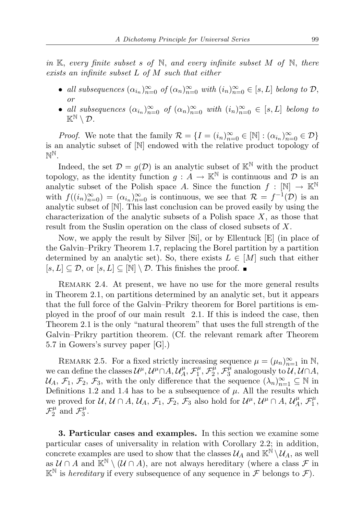in K, every finite subset s of N, and every infinite subset M of N, there exists an infinite subset L of M such that either

- all subsequences  $(\alpha_{i_n})_{n=0}^{\infty}$  of  $(\alpha_n)_{n=0}^{\infty}$  with  $(i_n)_{n=0}^{\infty} \in [s, L]$  belong to  $\mathcal{D}$ , or
- all subsequences  $(\alpha_{i_n})_{n=0}^{\infty}$  of  $(\alpha_n)_{n=0}^{\infty}$  with  $(i_n)_{n=0}^{\infty} \in [s, L]$  belong to  $\mathbb{K}^{\mathbb{N}}\setminus \mathcal{D}$ .

*Proof.* We note that the family  $\mathcal{R} = \{I = (i_n)_{n=0}^{\infty} \in [\mathbb{N}] : (\alpha_{i_n})_{n=0}^{\infty} \in \mathcal{D}\}\$ is an analytic subset of [N] endowed with the relative product topology of  $\mathbb{N}^{\mathbb{N}}$  .

Indeed, the set  $\mathcal{D} = g(\mathcal{D})$  is an analytic subset of  $\mathbb{K}^{\mathbb{N}}$  with the product topology, as the identity function  $q: A \to \mathbb{K}^{\mathbb{N}}$  is continuous and  $D$  is an analytic subset of the Polish space A. Since the function  $f : [\mathbb{N}] \to \mathbb{K}^{\mathbb{N}}$ with  $f((i_n)_{n=0}^{\infty}) = (\alpha_{i_n})_{n=0}^{\infty}$  is continuous, we see that  $\mathcal{R} = f^{-1}(\mathcal{D})$  is an analytic subset of [N]. This last conclusion can be proved easily by using the characterization of the analytic subsets of a Polish space  $X$ , as those that result from the Suslin operation on the class of closed subsets of X.

Now, we apply the result by Silver [Si], or by Ellentuck [E] (in place of the Galvin–Prikry Theorem 1.7, replacing the Borel partition by a partition determined by an analytic set). So, there exists  $L \in [M]$  such that either  $[s, L] \subseteq \mathcal{D}$ , or  $[s, L] \subseteq [\mathbb{N}] \setminus \mathcal{D}$ . This finishes the proof.

REMARK 2.4. At present, we have no use for the more general results in Theorem 2.1, on partitions determined by an analytic set, but it appears that the full force of the Galvin–Prikry theorem for Borel partitions is employed in the proof of our main result 2.1. If this is indeed the case, then Theorem 2.1 is the only "natural theorem" that uses the full strength of the Galvin–Prikry partition theorem. (Cf. the relevant remark after Theorem 5.7 in Gowers's survey paper [G].)

REMARK 2.5. For a fixed strictly increasing sequence  $\mu = (\mu_n)_{n=1}^{\infty}$  in N, we can define the classes  $\mathcal{U}^{\mu}, \mathcal{U}^{\mu} \cap A, \mathcal{U}_{A}^{\mu}$  $\mathcal{F}_{A}^{\mu},\mathcal{F}_{1}^{\mu}$  $\mathcal{F}_{1}^{\mu},\mathcal{F}_{2}^{\mu}$  $\tilde{\tau_2^{\mu}}, \mathcal{F}^{\tilde{\mu}}_3$  $\mathcal{L}^{\mu}_{3}$  analogously to  $\mathcal{U}, \mathcal{U} \cap A$ ,  $\mathcal{U}_A, \mathcal{F}_1, \mathcal{F}_2, \mathcal{F}_3$ , with the only difference that the sequence  $(\lambda_n)_{n=1}^{\infty} \subseteq \mathbb{N}$  in Definitions 1.2 and 1.4 has to be a subsequence of  $\mu$ . All the results which we proved for  $\mathcal{U}, \mathcal{U} \cap A, \mathcal{U}_A, \mathcal{F}_1, \mathcal{F}_2, \mathcal{F}_3$  also hold for  $\mathcal{U}^{\mu}, \mathcal{U}^{\mu} \cap A, \mathcal{U}_A^{\mu}$  $\mathcal{F}_A^\mu$ ,  $\mathcal{F}_1^\mu$  $\frac{\mu}{1},$  $\mathcal{F}^\mu_2$  $\frac{\mu}{2}$  and  $\mathcal{F}_3^{\mu}$  $\frac{\mu}{3}$ .

3. Particular cases and examples. In this section we examine some particular cases of universality in relation with Corollary 2.2; in addition, concrete examples are used to show that the classes  $\mathcal{U}_A$  and  $\mathbb{K}^{\mathbb{N}}\setminus\mathcal{U}_A$ , as well as  $\mathcal{U} \cap A$  and  $\mathbb{K}^{\mathbb{N}} \setminus (\mathcal{U} \cap A)$ , are not always hereditary (where a class  $\mathcal{F}$  in  $\mathbb{K}^{\mathbb{N}}$  is *hereditary* if every subsequence of any sequence in  $\mathcal F$  belongs to  $\mathcal F$ ).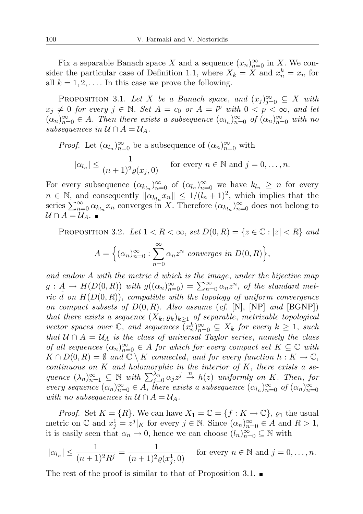Fix a separable Banach space X and a sequence  $(x_n)_{n=0}^{\infty}$  in X. We consider the particular case of Definition 1.1, where  $X_k = X$  and  $x_n^k = x_n$  for all  $k = 1, 2, \ldots$  In this case we prove the following.

PROPOSITION 3.1. Let X be a Banach space, and  $(x_j)_{j=0}^{\infty} \subseteq X$  with  $x_j \neq 0$  for every  $j \in \mathbb{N}$ . Set  $A = c_0$  or  $A = l^p$  with  $0 < p < \infty$ , and let  $(\alpha_n)_{n=0}^{\infty} \in A$ . Then there exists a subsequence  $(\alpha_{l_n})_{n=0}^{\infty}$  of  $(\alpha_n)_{n=0}^{\infty}$  with no subsequences in  $\mathcal{U} \cap A = \mathcal{U}_A$ .

*Proof.* Let 
$$
(\alpha_{l_n})_{n=0}^{\infty}
$$
 be a subsequence of  $(\alpha_n)_{n=0}^{\infty}$  with  

$$
|\alpha_{l_n}| \leq \frac{1}{(n+1)^2 \varrho(x_j, 0)}
$$
 for every  $n \in \mathbb{N}$  and  $j = 0, ..., n$ .

For every subsequence  $(\alpha_{k_{l_n}})_{n=0}^{\infty}$  of  $(\alpha_{l_n})_{n=0}^{\infty}$  we have  $k_{l_n} \geq n$  for every  $n \in \mathbb{N}$ , and consequently  $\|\alpha_{k_{l_n}} x_n\| \leq 1/(l_n+1)^2$ , which implies that the series  $\sum_{n=0}^{\infty} \alpha_{k_{l_n}} x_n$  converges in X. Therefore  $(\alpha_{k_{l_n}})_{n=0}^{\infty}$  does not belong to  $\mathcal{U} \cap A = \mathcal{U}_A$ .

PROPOSITION 3.2. Let  $1 < R < \infty$ , set  $D(0, R) = \{z \in \mathbb{C} : |z| < R\}$  and  $A = \left\{ (\alpha_n)_{n=0}^{\infty} : \sum_{n=0}^{\infty} \right\}$  $\alpha_n z^n$  converges in  $D(0,R)$ ,

 $n=0$ 

and endow A with the metric d which is the image, under the bijective map  $g: A \to H(D(0,R))$  with  $g((\alpha_n)_{n=0}^{\infty}) = \sum_{n=0}^{\infty} \alpha_n z^n$ , of the standard metric  $d$  on  $H(D(0,R))$ , compatible with the topology of uniform convergence on compact subsets of  $D(0, R)$ . Also assume (cf.  $[N], [NP]$  and  $[BGNP]$ ) that there exists a sequence  $(X_k, \varrho_k)_{k>1}$  of separable, metrizable topological vector spaces over  $\mathbb{C}$ , and sequences  $\overline{(x_n^k)}_{n=0}^{\infty} \subseteq X_k$  for every  $k \geq 1$ , such that  $U \cap A = U_A$  is the class of universal Taylor series, namely the class of all sequences  $(\alpha_n)_{n=0}^{\infty} \in A$  for which for every compact set  $K \subseteq \mathbb{C}$  with  $K \cap D(0,R) = \emptyset$  and  $\mathbb{C} \setminus K$  connected, and for every function  $h: K \to \mathbb{C}$ , continuous on  $K$  and holomorphic in the interior of  $K$ , there exists a sequence  $(\lambda_n)_{n=1}^{\infty} \subseteq \mathbb{N}$  with  $\sum_{j=0}^{\lambda_n} \alpha_j z^j \stackrel{n}{\to} h(z)$  uniformly on K. Then, for every sequence  $(\alpha_n)_{n=0}^{\infty} \in A$ , there exists a subsequence  $(\alpha_{l_n})_{n=0}^{\infty}$  of  $(\alpha_n)_{n=0}^{\infty}$ with no subsequences in  $\mathcal{U} \cap A = \mathcal{U}_A$ .

*Proof.* Set  $K = \{R\}$ . We can have  $X_1 = \mathbb{C} = \{f : K \to \mathbb{C}\}, \varrho_1$  the usual metric on  $\mathbb C$  and  $x_j^1 = z^j |_{K}$  for every  $j \in \mathbb N$ . Since  $(\alpha_n)_{n=0}^{\infty} \in A$  and  $R > 1$ , it is easily seen that  $\alpha_n \to 0$ , hence we can choose  $(l_n)_{n=0}^{\infty} \subseteq \mathbb{N}$  with

$$
|\alpha_{l_n}| \le \frac{1}{(n+1)^2 R^j} = \frac{1}{(n+1)^2 \varrho(x_j^1, 0)}
$$
 for every  $n \in \mathbb{N}$  and  $j = 0, \ldots, n$ .

The rest of the proof is similar to that of Proposition 3.1.  $\blacksquare$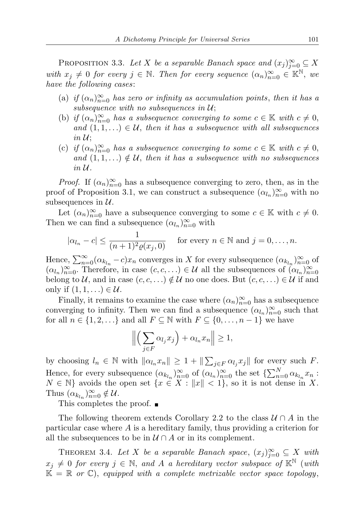PROPOSITION 3.3. Let X be a separable Banach space and  $(x_j)_{j=0}^{\infty} \subseteq X$ with  $x_j \neq 0$  for every  $j \in \mathbb{N}$ . Then for every sequence  $(\alpha_n)_{n=0}^{\infty} \in \mathbb{K}^{\mathbb{N}}$ , we have the following cases:

- (a) if  $(\alpha_n)_{n=0}^{\infty}$  has zero or infinity as accumulation points, then it has a subsequence with no subsequences in  $\mathcal{U}$ ;
- (b) if  $(\alpha_n)_{n=0}^{\infty}$  has a subsequence converging to some  $c \in \mathbb{K}$  with  $c \neq 0$ , and  $(1, 1, ...) \in U$ , then it has a subsequence with all subsequences in  $\mathcal{U}$ ;
- (c) if  $(\alpha_n)_{n=0}^{\infty}$  has a subsequence converging to some  $c \in \mathbb{K}$  with  $c \neq 0$ , and  $(1,1,\ldots) \notin \mathcal{U}$ , then it has a subsequence with no subsequences in  $\mathcal U$ .

*Proof.* If  $(\alpha_n)_{n=0}^{\infty}$  has a subsequence converging to zero, then, as in the proof of Proposition 3.1, we can construct a subsequence  $(\alpha_{l_n})_{n=0}^{\infty}$  with no subsequences in  $\mathcal{U}$ .

Let  $(\alpha_n)_{n=0}^{\infty}$  have a subsequence converging to some  $c \in \mathbb{K}$  with  $c \neq 0$ . Then we can find a subsequence  $(\alpha_{l_n})_{n=0}^{\infty}$  with

$$
|\alpha_{l_n} - c| \le \frac{1}{(n+1)^2 \varrho(x_j, 0)} \quad \text{for every } n \in \mathbb{N} \text{ and } j = 0, \dots, n.
$$

Hence,  $\sum_{n=0}^{\infty} (\alpha_{k_{l_n}} - c)x_n$  converges in X for every subsequence  $(\alpha_{k_{l_n}})_{n=0}^{\infty}$  of  $(\alpha_{l_n})_{n=0}^{\infty}$ . Therefore, in case  $(c, c, ...) \in \mathcal{U}$  all the subsequences of  $(\alpha_{l_n})_{n=0}^{\infty}$ belong to U, and in case  $(c, c, \ldots) \notin U$  no one does. But  $(c, c, \ldots) \in U$  if and only if  $(1, 1, \ldots) \in \mathcal{U}$ .

Finally, it remains to examine the case where  $(\alpha_n)_{n=0}^{\infty}$  has a subsequence converging to infinity. Then we can find a subsequence  $(\alpha_{l_n})_{n=0}^{\infty}$  such that for all  $n \in \{1, 2, \ldots\}$  and all  $F \subseteq \mathbb{N}$  with  $F \subseteq \{0, \ldots, n-1\}$  we have

$$
\left\| \left( \sum_{j \in F} \alpha_{l_j} x_j \right) + \alpha_{l_n} x_n \right\| \ge 1,
$$

by choosing  $l_n \in \mathbb{N}$  with  $\|\alpha_{l_n} x_n\| \geq 1 + \|\sum_{j \in F} \alpha_{l_j} x_j\|$  for every such F. Hence, for every subsequence  $(\alpha_{k_{l_n}})_{n=0}^{\infty}$  of  $(\alpha_{l_n})_{n=0}^{\infty}$  the set  $\{\sum_{n=0}^{N} \alpha_{k_{l_n}} x_n$ :  $N \in \mathbb{N}$  avoids the open set  $\{x \in X : ||x|| < 1\}$ , so it is not dense in X. Thus  $(\alpha_{k_{l_n}})_{n=0}^{\infty} \notin \mathcal{U}$ .

This completes the proof.

The following theorem extends Corollary 2.2 to the class  $\mathcal{U} \cap A$  in the particular case where A is a hereditary family, thus providing a criterion for all the subsequences to be in  $\mathcal{U} \cap A$  or in its complement.

THEOREM 3.4. Let X be a separable Banach space,  $(x_j)_{j=0}^{\infty} \subseteq X$  with  $x_j \neq 0$  for every  $j \in \mathbb{N}$ , and A a hereditary vector subspace of  $\mathbb{K}^{\mathbb{N}}$  (with  $\mathbb{K} = \mathbb{R}$  or  $\mathbb{C}$ , equipped with a complete metrizable vector space topology,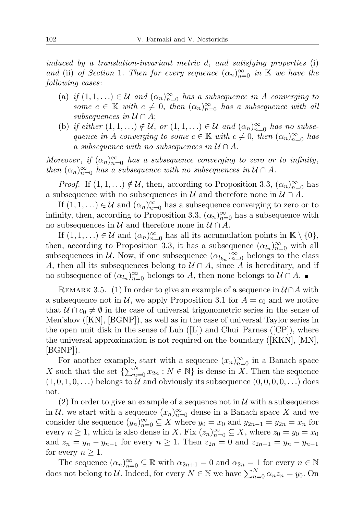induced by a translation-invariant metric d, and satisfying properties (i) and (ii) of Section 1. Then for every sequence  $(\alpha_n)_{n=0}^{\infty}$  in K we have the following cases:

- (a) if  $(1,1,\ldots) \in \mathcal{U}$  and  $(\alpha_n)_{n=0}^{\infty}$  has a subsequence in A converging to some  $c \in \mathbb{K}$  with  $c \neq 0$ , then  $(\alpha_n)_{n=0}^{\infty}$  has a subsequence with all subsequences in  $\mathcal{U} \cap A$ ;
- (b) if either  $(1,1,\ldots) \notin \mathcal{U}$ , or  $(1,1,\ldots) \in \mathcal{U}$  and  $(\alpha_n)_{n=0}^{\infty}$  has no subsequence in A converging to some  $c \in \mathbb{K}$  with  $c \neq 0$ , then  $(\alpha_n)_{n=0}^{\infty}$  has a subsequence with no subsequences in  $\mathcal{U} \cap A$ .

Moreover, if  $(\alpha_n)_{n=0}^{\infty}$  has a subsequence converging to zero or to infinity, then  $(\alpha_n)_{n=0}^{\infty}$  has a subsequence with no subsequences in  $\mathcal{U} \cap A$ .

*Proof.* If  $(1,1,\ldots) \notin \mathcal{U}$ , then, according to Proposition 3.3,  $(\alpha_n)_{n=0}^{\infty}$  has a subsequence with no subsequences in  $\mathcal U$  and therefore none in  $\mathcal U \cap A$ .

If  $(1,1,\ldots) \in \mathcal{U}$  and  $(\alpha_n)_{n=0}^{\infty}$  has a subsequence converging to zero or to infinity, then, according to Proposition 3.3,  $(\alpha_n)_{n=0}^{\infty}$  has a subsequence with no subsequences in  $\mathcal U$  and therefore none in  $\mathcal U \cap A$ .

If  $(1,1,\ldots) \in \mathcal{U}$  and  $(\alpha_n)_{n=0}^{\infty}$  has all its accumulation points in  $\mathbb{K} \setminus \{0\}$ , then, according to Proposition 3.3, it has a subsequence  $(\alpha_{l_n})_{n=0}^{\infty}$  with all subsequences in  $\mathcal{U}$ . Now, if one subsequence  $(\alpha_{l_{k_n}})_{n=0}^{\infty}$  belongs to the class A, then all its subsequences belong to  $\mathcal{U} \cap A$ , since A is hereditary, and if no subsequence of  $(\alpha_{l_n})_{n=0}^{\infty}$  belongs to  $A$ , then none belongs to  $\mathcal{U} \cap A$ .

REMARK 3.5. (1) In order to give an example of a sequence in  $\mathcal{U} \cap A$  with a subsequence not in  $U$ , we apply Proposition 3.1 for  $A = c_0$  and we notice that  $U \cap c_0 \neq \emptyset$  in the case of universal trigonometric series in the sense of Men'shov ([KN], [BGNP]), as well as in the case of universal Taylor series in the open unit disk in the sense of Luh  $(|L|)$  and Chui–Parnes  $(|CP|)$ , where the universal approximation is not required on the boundary ([KKN], [MN],  $|BGNP|$ ).

For another example, start with a sequence  $(x_n)_{n=0}^{\infty}$  in a Banach space X such that the set  $\{\sum_{n=0}^{N} x_{2n} : N \in \mathbb{N}\}\$  is dense in X. Then the sequence  $(1, 0, 1, 0, \ldots)$  belongs to U and obviously its subsequence  $(0, 0, 0, 0, \ldots)$  does not.

(2) In order to give an example of a sequence not in  $\mathcal U$  with a subsequence in U, we start with a sequence  $(x_n)_{n=0}^{\infty}$  dense in a Banach space X and we consider the sequence  $(y_n)_{n=0}^{\infty} \subseteq X$  where  $y_0 = x_0$  and  $y_{2n-1} = y_{2n} = x_n$  for every  $n \geq 1$ , which is also dense in X. Fix  $(z_n)_{n=0}^{\infty} \subseteq X$ , where  $z_0 = y_0 = x_0$ and  $z_n = y_n - y_{n-1}$  for every  $n \ge 1$ . Then  $z_{2n} = 0$  and  $z_{2n-1} = y_n - y_{n-1}$ for every  $n \geq 1$ .

The sequence  $(\alpha_n)_{n=0}^{\infty} \subseteq \mathbb{R}$  with  $\alpha_{2n+1} = 0$  and  $\alpha_{2n} = 1$  for every  $n \in \mathbb{N}$ does not belong to U. Indeed, for every  $N \in \mathbb{N}$  we have  $\sum_{n=0}^{N} \alpha_n z_n = y_0$ . On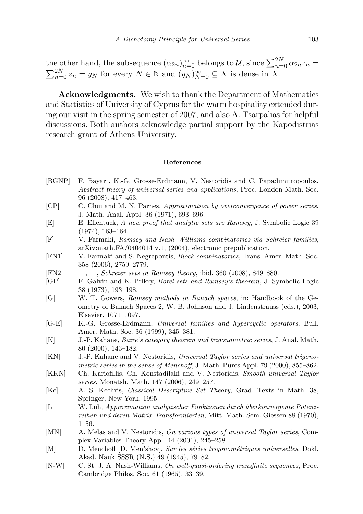the other hand, the subsequence  $(\alpha_{2n})_{n=0}^{\infty}$  belongs to U, since  $\sum_{n=0}^{2N} \alpha_{2n} z_n =$  $\sum_{n=0}^{2N} z_n = y_N$  for every  $N \in \mathbb{N}$  and  $(y_N)_{N=0}^{\infty} \subseteq X$  is dense in X.

Acknowledgments. We wish to thank the Department of Mathematics and Statistics of University of Cyprus for the warm hospitality extended during our visit in the spring semester of 2007, and also A. Tsarpalias for helpful discussions. Both authors acknowledge partial support by the Kapodistrias research grant of Athens University.

## References

- [BGNP] F. Bayart, K.-G. Grosse-Erdmann, V. Nestoridis and C. Papadimitropoulos, Abstract theory of universal series and applications, Proc. London Math. Soc. 96 (2008), 417–463.
- [CP] C. Chui and M. N. Parnes, Approximation by overconvergence of power series, J. Math. Anal. Appl. 36 (1971), 693–696.
- [E] E. Ellentuck, A new proof that analytic sets are Ramsey, J. Symbolic Logic 39 (1974), 163–164.
- [F] V. Farmaki, Ramsey and Nash–Williams combinatorics via Schreier families, arXiv:math.FA/0404014 v.1, (2004), electronic prepublication.
- [FN1] V. Farmaki and S. Negrepontis, Block combinatorics, Trans. Amer. Math. Soc. 358 (2006), 2759–2779.
- $[FN2] \longrightarrow$ , Schreier sets in Ramsey theory, ibid. 360 (2008), 849–880.
- [GP] F. Galvin and K. Prikry, Borel sets and Ramsey's theorem, J. Symbolic Logic 38 (1973), 193–198.
- [G] W. T. Gowers, Ramsey methods in Banach spaces, in: Handbook of the Geometry of Banach Spaces 2, W. B. Johnson and J. Lindenstrauss (eds.), 2003, Elsevier, 1071–1097.
- [G-E] K.-G. Grosse-Erdmann, Universal families and hypercyclic operators, Bull. Amer. Math. Soc. 36 (1999), 345–381.
- [K] J.-P. Kahane, Baire's category theorem and trigonometric series, J. Anal. Math. 80 (2000), 143–182.
- [KN] J.-P. Kahane and V. Nestoridis, Universal Taylor series and universal trigonometric series in the sense of Menchoff, J. Math. Pures Appl. 79 (2000), 855–862.
- [KKN] Ch. Kariofillis, Ch. Konstadilaki and V. Nestoridis, Smooth universal Taylor series, Monatsh. Math. 147 (2006), 249–257.
- [Ke] A. S. Kechris, Classical Descriptive Set Theory, Grad. Texts in Math. 38, Springer, New York, 1995.
- [L] W. Luh, Approximation analytischer Funktionen durch ¨uberkonvergente Potenzreihen und deren Matrix-Transformierten, Mitt. Math. Sem. Giessen 88 (1970), 1–56.
- [MN] A. Melas and V. Nestoridis, On various types of universal Taylor series, Complex Variables Theory Appl. 44 (2001), 245–258.
- [M] D. Menchoff [D. Men'shov], Sur les séries trigonométriques universelles, Dokl. Akad. Nauk SSSR (N.S.) 49 (1945), 79–82.
- [N-W] C. St. J. A. Nash-Williams, On well-quasi-ordering transfinite sequences, Proc. Cambridge Philos. Soc. 61 (1965), 33–39.